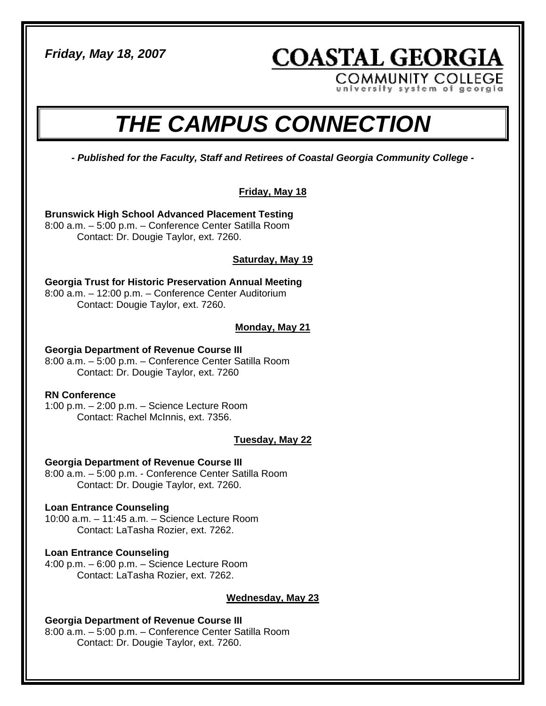*Friday, May 18, 2007* 

**COASTAL GEORGIA COMMUNITY COLLEGE** 

university system of georgia

# *THE CAMPUS CONNECTION*

*- Published for the Faculty, Staff and Retirees of Coastal Georgia Community College -* 

## **Friday, May 18**

**Brunswick High School Advanced Placement Testing**  8:00 a.m. – 5:00 p.m. – Conference Center Satilla Room Contact: Dr. Dougie Taylor, ext. 7260.

## **Saturday, May 19**

**Georgia Trust for Historic Preservation Annual Meeting**  8:00 a.m. – 12:00 p.m. – Conference Center Auditorium Contact: Dougie Taylor, ext. 7260.

## **Monday, May 21**

#### **Georgia Department of Revenue Course III**

8:00 a.m. – 5:00 p.m. – Conference Center Satilla Room Contact: Dr. Dougie Taylor, ext. 7260

#### **RN Conference**

1:00 p.m. – 2:00 p.m. – Science Lecture Room Contact: Rachel McInnis, ext. 7356.

#### **Tuesday, May 22**

#### **Georgia Department of Revenue Course III**

8:00 a.m. – 5:00 p.m. - Conference Center Satilla Room Contact: Dr. Dougie Taylor, ext. 7260.

#### **Loan Entrance Counseling**

10:00 a.m. – 11:45 a.m. – Science Lecture Room Contact: LaTasha Rozier, ext. 7262.

#### **Loan Entrance Counseling**

4:00 p.m. – 6:00 p.m. – Science Lecture Room Contact: LaTasha Rozier, ext. 7262.

#### **Wednesday, May 23**

#### **Georgia Department of Revenue Course III**  8:00 a.m. – 5:00 p.m. – Conference Center Satilla Room Contact: Dr. Dougie Taylor, ext. 7260.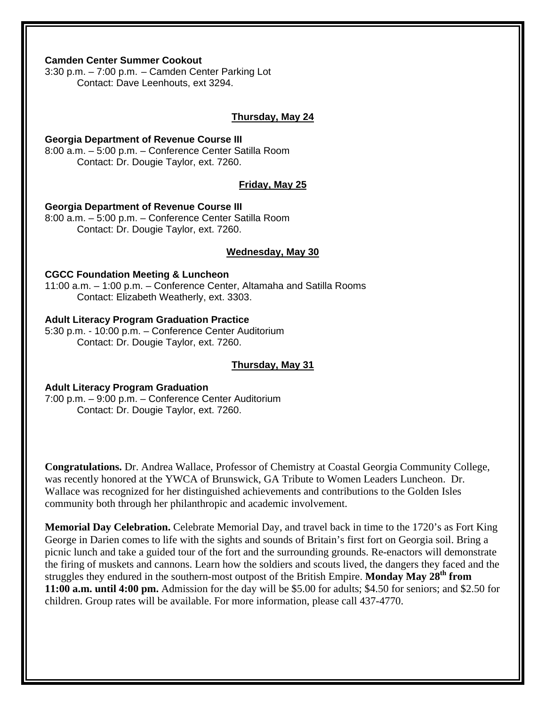#### **Camden Center Summer Cookout**

3:30 p.m. – 7:00 p.m. – Camden Center Parking Lot Contact: Dave Leenhouts, ext 3294.

#### **Thursday, May 24**

#### **Georgia Department of Revenue Course III**

8:00 a.m. – 5:00 p.m. – Conference Center Satilla Room Contact: Dr. Dougie Taylor, ext. 7260.

#### **Friday, May 25**

#### **Georgia Department of Revenue Course III**

8:00 a.m. – 5:00 p.m. – Conference Center Satilla Room Contact: Dr. Dougie Taylor, ext. 7260.

#### **Wednesday, May 30**

#### **CGCC Foundation Meeting & Luncheon**

11:00 a.m. – 1:00 p.m. – Conference Center, Altamaha and Satilla Rooms Contact: Elizabeth Weatherly, ext. 3303.

#### **Adult Literacy Program Graduation Practice**

5:30 p.m. - 10:00 p.m. – Conference Center Auditorium Contact: Dr. Dougie Taylor, ext. 7260.

#### **Thursday, May 31**

#### **Adult Literacy Program Graduation**

7:00 p.m. – 9:00 p.m. – Conference Center Auditorium Contact: Dr. Dougie Taylor, ext. 7260.

**Congratulations.** Dr. Andrea Wallace, Professor of Chemistry at Coastal Georgia Community College, was recently honored at the YWCA of Brunswick, GA Tribute to Women Leaders Luncheon. Dr. Wallace was recognized for her distinguished achievements and contributions to the Golden Isles community both through her philanthropic and academic involvement.

**Memorial Day Celebration.** Celebrate Memorial Day, and travel back in time to the 1720's as Fort King George in Darien comes to life with the sights and sounds of Britain's first fort on Georgia soil. Bring a picnic lunch and take a guided tour of the fort and the surrounding grounds. Re-enactors will demonstrate the firing of muskets and cannons. Learn how the soldiers and scouts lived, the dangers they faced and the struggles they endured in the southern-most outpost of the British Empire. **Monday May 28th from 11:00 a.m. until 4:00 pm.** Admission for the day will be \$5.00 for adults; \$4.50 for seniors; and \$2.50 for children. Group rates will be available. For more information, please call 437-4770.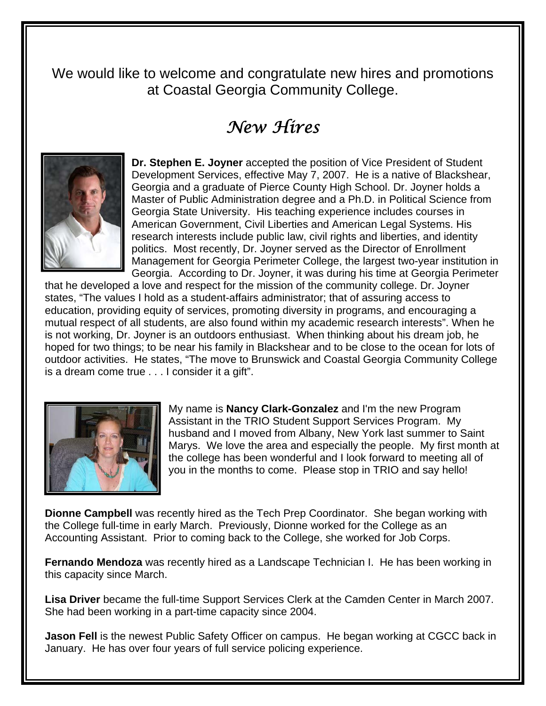We would like to welcome and congratulate new hires and promotions at Coastal Georgia Community College.

# *New Hires*



**Dr. Stephen E. Joyner** accepted the position of Vice President of Student Development Services, effective May 7, 2007. He is a native of Blackshear, Georgia and a graduate of Pierce County High School. Dr. Joyner holds a Master of Public Administration degree and a Ph.D. in Political Science from Georgia State University. His teaching experience includes courses in American Government, Civil Liberties and American Legal Systems. His research interests include public law, civil rights and liberties, and identity politics. Most recently, Dr. Joyner served as the Director of Enrollment Management for Georgia Perimeter College, the largest two-year institution in Georgia. According to Dr. Joyner, it was during his time at Georgia Perimeter

that he developed a love and respect for the mission of the community college. Dr. Joyner states, "The values I hold as a student-affairs administrator; that of assuring access to education, providing equity of services, promoting diversity in programs, and encouraging a mutual respect of all students, are also found within my academic research interests". When he is not working, Dr. Joyner is an outdoors enthusiast. When thinking about his dream job, he hoped for two things; to be near his family in Blackshear and to be close to the ocean for lots of outdoor activities. He states, "The move to Brunswick and Coastal Georgia Community College is a dream come true . . . I consider it a gift".



My name is **Nancy Clark-Gonzalez** and I'm the new Program Assistant in the TRIO Student Support Services Program. My husband and I moved from Albany, New York last summer to Saint Marys. We love the area and especially the people. My first month at the college has been wonderful and I look forward to meeting all of you in the months to come. Please stop in TRIO and say hello!

**Dionne Campbell** was recently hired as the Tech Prep Coordinator. She began working with the College full-time in early March. Previously, Dionne worked for the College as an Accounting Assistant. Prior to coming back to the College, she worked for Job Corps.

**Fernando Mendoza** was recently hired as a Landscape Technician I. He has been working in this capacity since March.

**Lisa Driver** became the full-time Support Services Clerk at the Camden Center in March 2007. She had been working in a part-time capacity since 2004.

**Jason Fell** is the newest Public Safety Officer on campus. He began working at CGCC back in January. He has over four years of full service policing experience.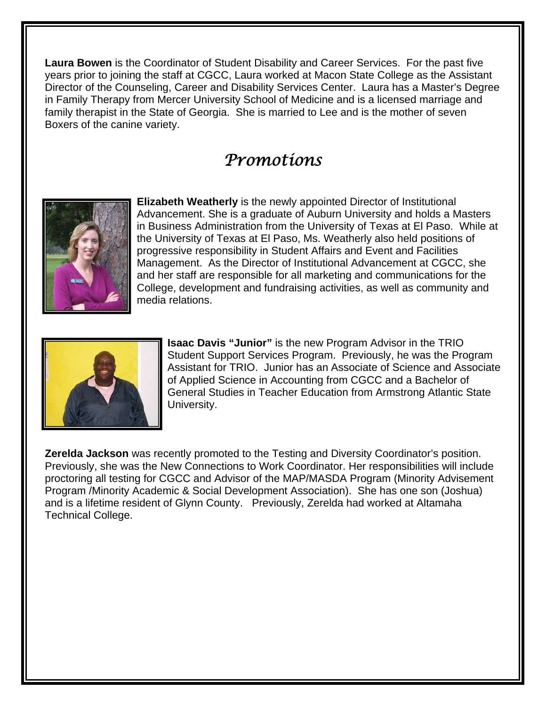**Laura Bowen** is the Coordinator of Student Disability and Career Services. For the past five years prior to joining the staff at CGCC, Laura worked at Macon State College as the Assistant Director of the Counseling, Career and Disability Services Center. Laura has a Master's Degree in Family Therapy from Mercer University School of Medicine and is a licensed marriage and family therapist in the State of Georgia. She is married to Lee and is the mother of seven Boxers of the canine variety.

# *Promotions*



**Elizabeth Weatherly** is the newly appointed Director of Institutional Advancement. She is a graduate of Auburn University and holds a Masters in Business Administration from the University of Texas at El Paso. While at the University of Texas at El Paso, Ms. Weatherly also held positions of progressive responsibility in Student Affairs and Event and Facilities Management. As the Director of Institutional Advancement at CGCC, she and her staff are responsible for all marketing and communications for the College, development and fundraising activities, as well as community and media relations.



**Isaac Davis "Junior"** is the new Program Advisor in the TRIO Student Support Services Program. Previously, he was the Program Assistant for TRIO. Junior has an Associate of Science and Associate of Applied Science in Accounting from CGCC and a Bachelor of General Studies in Teacher Education from Armstrong Atlantic State University.

**Zerelda Jackson** was recently promoted to the Testing and Diversity Coordinator's position. Previously, she was the New Connections to Work Coordinator. Her responsibilities will include proctoring all testing for CGCC and Advisor of the MAP/MASDA Program (Minority Advisement Program /Minority Academic & Social Development Association). She has one son (Joshua) and is a lifetime resident of Glynn County. Previously, Zerelda had worked at Altamaha Technical College.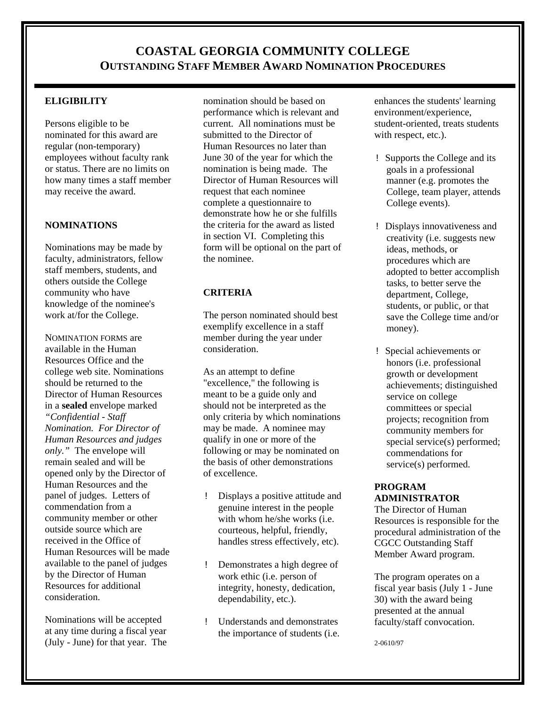# **COASTAL GEORGIA COMMUNITY COLLEGE OUTSTANDING STAFF MEMBER AWARD NOMINATION PROCEDURES**

#### **ELIGIBILITY**

Persons eligible to be nominated for this award are regular (non-temporary) employees without faculty rank or status. There are no limits on how many times a staff member may receive the award.

#### **NOMINATIONS**

Nominations may be made by faculty, administrators, fellow staff members, students, and others outside the College community who have knowledge of the nominee's work at/for the College.

NOMINATION FORMS are available in the Human Resources Office and the college web site. Nominations should be returned to the Director of Human Resources in a **sealed** envelope marked *"Confidential - Staff Nomination. For Director of Human Resources and judges only."* The envelope will remain sealed and will be opened only by the Director of Human Resources and the panel of judges. Letters of commendation from a community member or other outside source which are received in the Office of Human Resources will be made available to the panel of judges by the Director of Human Resources for additional consideration.

Nominations will be accepted at any time during a fiscal year (July - June) for that year. The

nomination should be based on performance which is relevant and current. All nominations must be submitted to the Director of Human Resources no later than June 30 of the year for which the nomination is being made. The Director of Human Resources will request that each nominee complete a questionnaire to demonstrate how he or she fulfills the criteria for the award as listed in section VI. Completing this form will be optional on the part of the nominee.

#### **CRITERIA**

The person nominated should best exemplify excellence in a staff member during the year under consideration.

As an attempt to define "excellence," the following is meant to be a guide only and should not be interpreted as the only criteria by which nominations may be made. A nominee may qualify in one or more of the following or may be nominated on the basis of other demonstrations of excellence.

- ! Displays a positive attitude and genuine interest in the people with whom he/she works (i.e. courteous, helpful, friendly, handles stress effectively, etc).
- ! Demonstrates a high degree of work ethic (i.e. person of integrity, honesty, dedication, dependability, etc.).
- ! Understands and demonstrates the importance of students (i.e.

enhances the students' learning environment/experience, student-oriented, treats students with respect, etc.).

- ! Supports the College and its goals in a professional manner (e.g. promotes the College, team player, attends College events).
- ! Displays innovativeness and creativity (i.e. suggests new ideas, methods, or procedures which are adopted to better accomplish tasks, to better serve the department, College, students, or public, or that save the College time and/or money).
- ! Special achievements or honors (i.e. professional growth or development achievements; distinguished service on college committees or special projects; recognition from community members for special service(s) performed; commendations for service(s) performed.

#### **PROGRAM ADMINISTRATOR**

The Director of Human Resources is responsible for the procedural administration of the CGCC Outstanding Staff Member Award program.

The program operates on a fiscal year basis (July 1 - June 30) with the award being presented at the annual faculty/staff convocation.

2-0610/97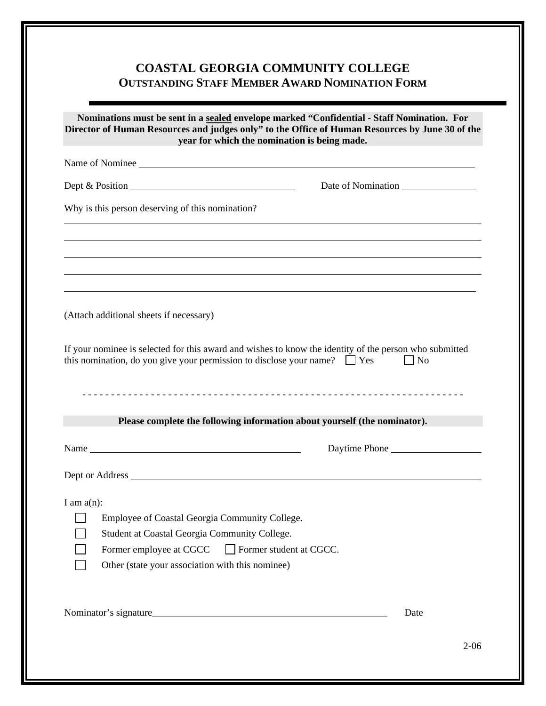# **COASTAL GEORGIA COMMUNITY COLLEGE OUTSTANDING STAFF MEMBER AWARD NOMINATION FORM**

| Nominations must be sent in a sealed envelope marked "Confidential - Staff Nomination. For<br>Director of Human Resources and judges only" to the Office of Human Resources by June 30 of the<br>year for which the nomination is being made. |                                                                                                                                                                                                       |
|-----------------------------------------------------------------------------------------------------------------------------------------------------------------------------------------------------------------------------------------------|-------------------------------------------------------------------------------------------------------------------------------------------------------------------------------------------------------|
|                                                                                                                                                                                                                                               | Name of Nominee                                                                                                                                                                                       |
|                                                                                                                                                                                                                                               | Dept & Position<br>Date of Nomination                                                                                                                                                                 |
| Why is this person deserving of this nomination?                                                                                                                                                                                              |                                                                                                                                                                                                       |
|                                                                                                                                                                                                                                               |                                                                                                                                                                                                       |
| (Attach additional sheets if necessary)                                                                                                                                                                                                       |                                                                                                                                                                                                       |
|                                                                                                                                                                                                                                               |                                                                                                                                                                                                       |
|                                                                                                                                                                                                                                               | If your nominee is selected for this award and wishes to know the identity of the person who submitted<br>this nomination, do you give your permission to disclose your name? $\Box$ Yes<br>$\Box$ No |
|                                                                                                                                                                                                                                               | Please complete the following information about yourself (the nominator).                                                                                                                             |
|                                                                                                                                                                                                                                               | Daytime Phone                                                                                                                                                                                         |
|                                                                                                                                                                                                                                               |                                                                                                                                                                                                       |
|                                                                                                                                                                                                                                               |                                                                                                                                                                                                       |
|                                                                                                                                                                                                                                               |                                                                                                                                                                                                       |
|                                                                                                                                                                                                                                               | Employee of Coastal Georgia Community College.<br>Student at Coastal Georgia Community College.                                                                                                       |
|                                                                                                                                                                                                                                               |                                                                                                                                                                                                       |
| I am $a(n)$ :                                                                                                                                                                                                                                 | Former employee at CGCC Former student at CGCC.<br>Other (state your association with this nominee)                                                                                                   |
|                                                                                                                                                                                                                                               |                                                                                                                                                                                                       |
|                                                                                                                                                                                                                                               | Nominator's signature<br>Date                                                                                                                                                                         |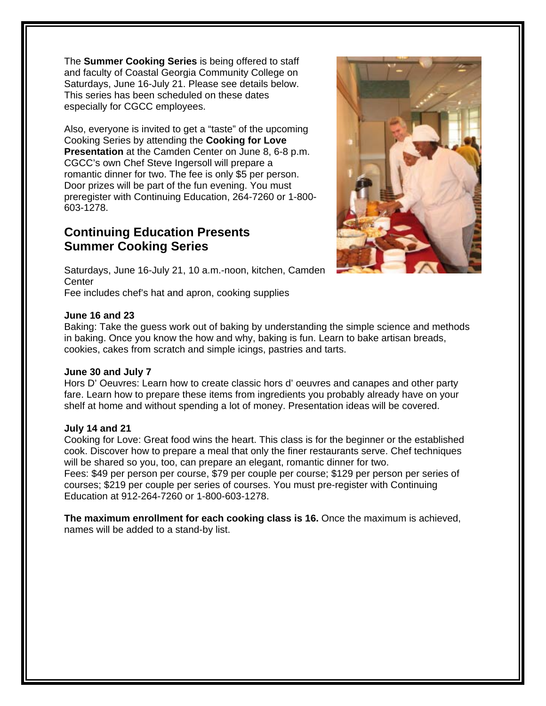The **Summer Cooking Series** is being offered to staff and faculty of Coastal Georgia Community College on Saturdays, June 16-July 21. Please see details below. This series has been scheduled on these dates especially for CGCC employees.

Also, everyone is invited to get a "taste" of the upcoming Cooking Series by attending the **Cooking for Love Presentation** at the Camden Center on June 8, 6-8 p.m. CGCC's own Chef Steve Ingersoll will prepare a romantic dinner for two. The fee is only \$5 per person. Door prizes will be part of the fun evening. You must preregister with Continuing Education, 264-7260 or 1-800- 603-1278.

# **Continuing Education Presents Summer Cooking Series**



Saturdays, June 16-July 21, 10 a.m.-noon, kitchen, Camden **Center** 

Fee includes chef's hat and apron, cooking supplies

#### **June 16 and 23**

Baking: Take the guess work out of baking by understanding the simple science and methods in baking. Once you know the how and why, baking is fun. Learn to bake artisan breads, cookies, cakes from scratch and simple icings, pastries and tarts.

#### **June 30 and July 7**

Hors D' Oeuvres: Learn how to create classic hors d' oeuvres and canapes and other party fare. Learn how to prepare these items from ingredients you probably already have on your shelf at home and without spending a lot of money. Presentation ideas will be covered.

#### **July 14 and 21**

Cooking for Love: Great food wins the heart. This class is for the beginner or the established cook. Discover how to prepare a meal that only the finer restaurants serve. Chef techniques will be shared so you, too, can prepare an elegant, romantic dinner for two. Fees: \$49 per person per course, \$79 per couple per course; \$129 per person per series of courses; \$219 per couple per series of courses. You must pre-register with Continuing Education at 912-264-7260 or 1-800-603-1278.

**The maximum enrollment for each cooking class is 16.** Once the maximum is achieved, names will be added to a stand-by list.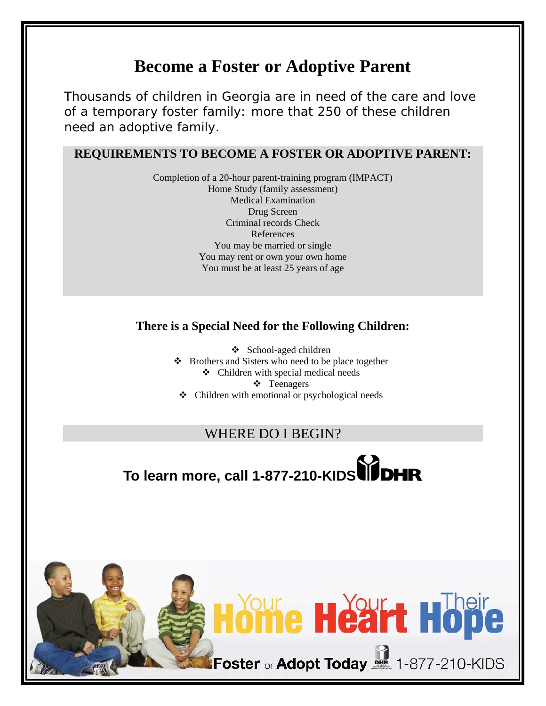# **Become a Foster or Adoptive Parent**

Thousands of children in Georgia are in need of the care and love of a temporary foster family: more that 250 of these children need an adoptive family.

## **REQUIREMENTS TO BECOME A FOSTER OR ADOPTIVE PARENT:**

Completion of a 20-hour parent-training program (IMPACT) Home Study (family assessment) Medical Examination Drug Screen Criminal records Check References You may be married or single You may rent or own your own home You must be at least 25 years of age

## **There is a Special Need for the Following Children:**

 School-aged children  $\triangle$  Brothers and Sisters who need to be place together Children with special medical needs Teenagers

 $\triangleleft$  Children with emotional or psychological needs

# WHERE DO I BEGIN?

# **To learn more, call 1-877-210-KIDS**